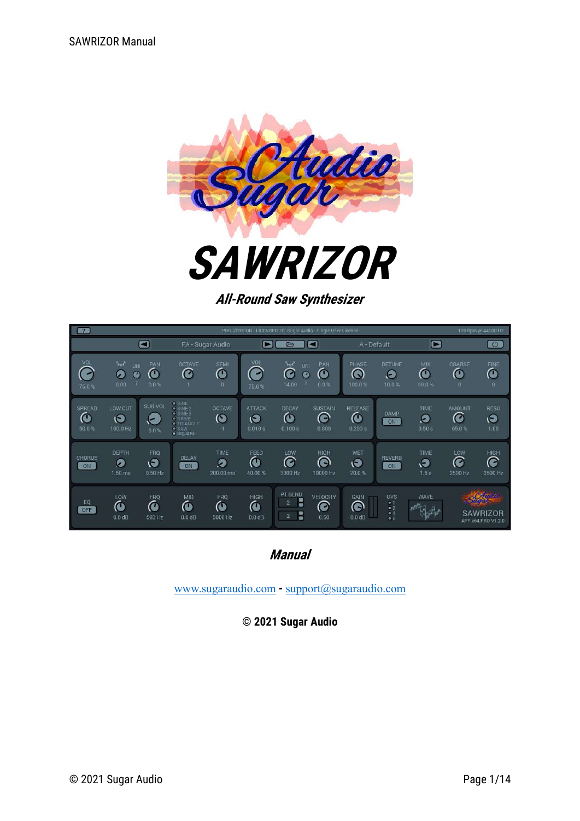

All-Round Saw Synthesizer

| <b>EZE</b>                  | 120 bpm @ 44100 Hz<br>PRO VERSION - LICENSED TO: Sugar Audio - Single User License |                                             |                                                                                                                    |                                         |                                               |                                                              |                                |                                |                                                                            |                                    |                               |                                                                  |
|-----------------------------|------------------------------------------------------------------------------------|---------------------------------------------|--------------------------------------------------------------------------------------------------------------------|-----------------------------------------|-----------------------------------------------|--------------------------------------------------------------|--------------------------------|--------------------------------|----------------------------------------------------------------------------|------------------------------------|-------------------------------|------------------------------------------------------------------|
|                             |                                                                                    | O                                           |                                                                                                                    | FA - Sugar Audio                        | Q                                             | $\triangleright$                                             | O                              | A - Default                    |                                                                            | $\blacksquare$                     |                               | $\circ$                                                          |
| VOL<br>×<br>75.0%           | Ind<br>UNI<br>$\bullet$<br>$\bullet$<br>0.00                                       | PAN<br>O<br>0.0%                            | <b><i><u>OCTAVE</u></i></b><br>O                                                                                   | <b>SEMI</b><br>$\rm{O}$<br>$\mathbf{0}$ | VOL<br>╭<br>75.0%                             | ፟ኊላ<br><b>UNI</b><br>෬<br>$\bullet$<br>14.00                 | PAN<br>Ο<br>0.0%               | PHASE<br>O<br>100.0%           | DETUNE<br>$\boldsymbol{\Theta}$<br>10.0%                                   | <b>MIX</b><br>O<br>50.0%           | COARSE<br>O<br>$\overline{0}$ | <b>FINE</b><br>O<br>$\alpha$                                     |
| <b>SPREAD</b><br>C<br>50.0% | LOW CUT<br>$\odot$<br>100.0 Hz                                                     | SUB VOL<br>$\overline{\phantom{a}}$<br>5.0% | <b>O</b> SINE<br>$\bullet$ SINE $2$<br><b>O SINE 3</b><br>· DRIVE<br><b>• TRIANGLE</b><br><b>• SAW</b><br>· SQUARE | <b>OCTAVE</b><br>$\bullet$<br>$-1$      | <b>ATTACK</b><br>$\odot$<br>0.010 s           | <b>DECAY</b><br>$\bullet$<br>0.100 s                         | <b>SUSTAIN</b><br>O<br>0.800   | <b>RELEASE</b><br>O<br>0.200 s | DAMP<br>ON                                                                 | <b>TIME</b><br>$\bullet$<br>0.50 s | <b>AMOUNT</b><br>⊘<br>65.0%   | <b>RESO</b><br>$\bullet$<br>1.00                                 |
| <b>CHORUS</b><br>ON         | <b>DEPTH</b><br>Ø<br>$1.50$ ms.                                                    | FRO<br>$\bullet$<br>$0.50$ Hz               | DELAY<br>ON                                                                                                        | TIME<br>Ø<br>200.00 ms                  | <b>FEED</b><br>$\bf{O}$<br>40.00%             | LOW<br>O<br>3000 Hz                                          | HIGH<br>$\bigcirc$<br>10000 Hz | WET<br>$\bullet$<br>20.0%      | <b>REVERB</b><br>ON                                                        | <b>TIME</b><br>$\bullet$<br>1.5s   | <b>LOW</b><br>O<br>2500 Hz    | HIGH<br>O<br>3500 Hz                                             |
| EQ<br>OFF                   | LOW<br>$\bullet$<br>$0.0$ dB                                                       | <b>FRO</b><br>$\bullet$<br>500 Hz           | <b>MID</b><br>$\bullet$<br>0.0 <sub>dB</sub>                                                                       | <b>FRQ</b><br>$\bullet$<br>5000 Hz      | <b>HIGH</b><br>$\bullet$<br>0.0 <sub>dB</sub> | PT BEND<br>88<br>$\overline{2}$<br>圈<br>田田<br>$\overline{2}$ | VELOCITY<br>O<br>0.50          | GAIN<br>⊝<br>$0.0$ dB          | <b>OVS</b><br>$\bullet$ 1<br>$^{\bullet}2$<br>$^{\circ}$ 4<br>$^{\circ}$ 8 | <b>WAVE</b>                        |                               | Philip<br><b>Bugar</b><br><b>SAWRIZOR</b><br>APP x64, PRO V1.2.0 |

### Manual

www.sugaraudio.com - support@sugaraudio.com

© 2021 Sugar Audio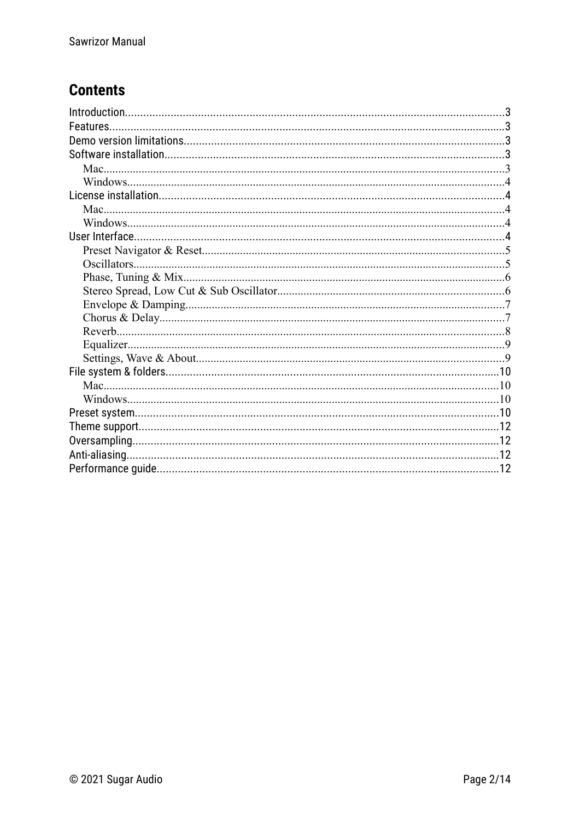# **Contents**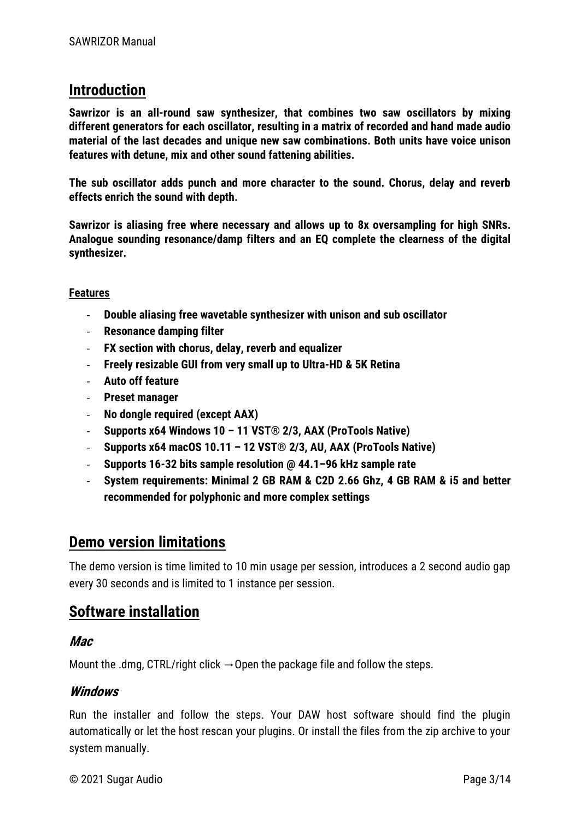# Introduction

Sawrizor is an all-round saw synthesizer, that combines two saw oscillators by mixing different generators for each oscillator, resulting in a matrix of recorded and hand made audio material of the last decades and unique new saw combinations. Both units have voice unison features with detune, mix and other sound fattening abilities.

The sub oscillator adds punch and more character to the sound. Chorus, delay and reverb effects enrich the sound with depth.

Sawrizor is aliasing free where necessary and allows up to 8x oversampling for high SNRs. Analogue sounding resonance/damp filters and an EQ complete the clearness of the digital synthesizer.

### Features

- Double aliasing free wavetable synthesizer with unison and sub oscillator
- Resonance damping filter
- FX section with chorus, delay, reverb and equalizer
- Freely resizable GUI from very small up to Ultra-HD & 5K Retina
- Auto off feature
- Preset manager
- No dongle required (except AAX)
- Supports x64 Windows 10 11 VST® 2/3, AAX (ProTools Native)
- Supports x64 macOS 10.11 12 VST® 2/3, AU, AAX (ProTools Native)
- Supports 16-32 bits sample resolution @ 44.1–96 kHz sample rate
- System requirements: Minimal 2 GB RAM & C2D 2.66 Ghz, 4 GB RAM & i5 and better recommended for polyphonic and more complex settings

### Demo version limitations

The demo version is time limited to 10 min usage per session, introduces a 2 second audio gap every 30 seconds and is limited to 1 instance per session.

### Software installation

### Mac

Mount the .dmg, CTRL/right click  $\rightarrow$  Open the package file and follow the steps.

### Windows

Run the installer and follow the steps. Your DAW host software should find the plugin automatically or let the host rescan your plugins. Or install the files from the zip archive to your system manually.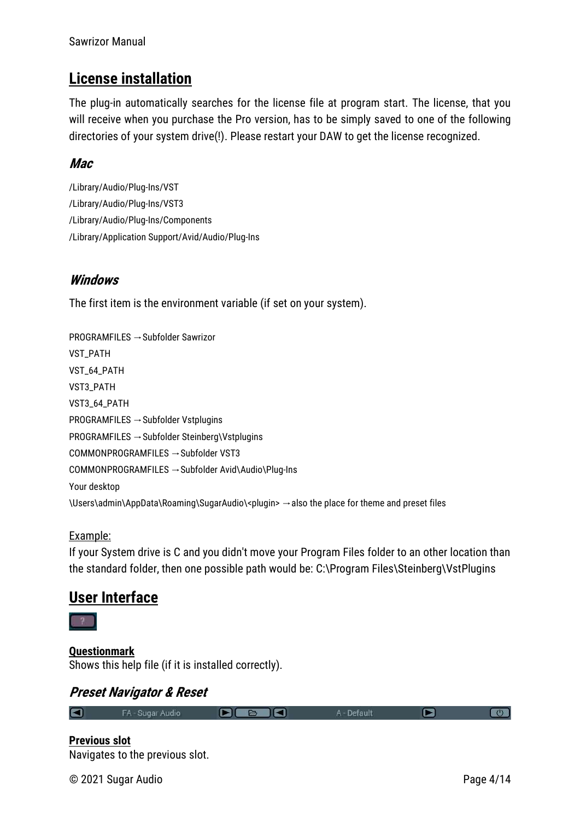# License installation

The plug-in automatically searches for the license file at program start. The license, that you will receive when you purchase the Pro version, has to be simply saved to one of the following directories of your system drive(!). Please restart your DAW to get the license recognized.

### Mac

/Library/Audio/Plug-Ins/VST /Library/Audio/Plug-Ins/VST3 /Library/Audio/Plug-Ins/Components /Library/Application Support/Avid/Audio/Plug-Ins

### Windows

The first item is the environment variable (if set on your system).

PROGRAMFILES → Subfolder Sawrizor VST\_PATH VST<sub>64</sub> PATH VST3\_PATH VST3\_64\_PATH PROGRAMFILES → Subfolder Vstplugins PROGRAMFILES → Subfolder Steinberg\Vstplugins COMMONPROGRAMFILES → Subfolder VST3  $COMMONPROGRAMFILES \rightarrow Subfolder Avid\Audio\Plug-Ins$ Your desktop \Users\admin\AppData\Roaming\SugarAudio\<plugin>  $\rightarrow$  also the place for theme and preset files

### Example:

If your System drive is C and you didn't move your Program Files folder to an other location than the standard folder, then one possible path would be: C:\Program Files\Steinberg\VstPlugins

# User Interface



Questionmark

Shows this help file (if it is installed correctly).

### Preset Navigator & Reset

| $\blacksquare$<br>ΞA Ξ |  | $\mathcal{L}$ in |  |
|------------------------|--|------------------|--|
|------------------------|--|------------------|--|

Previous slot Navigates to the previous slot.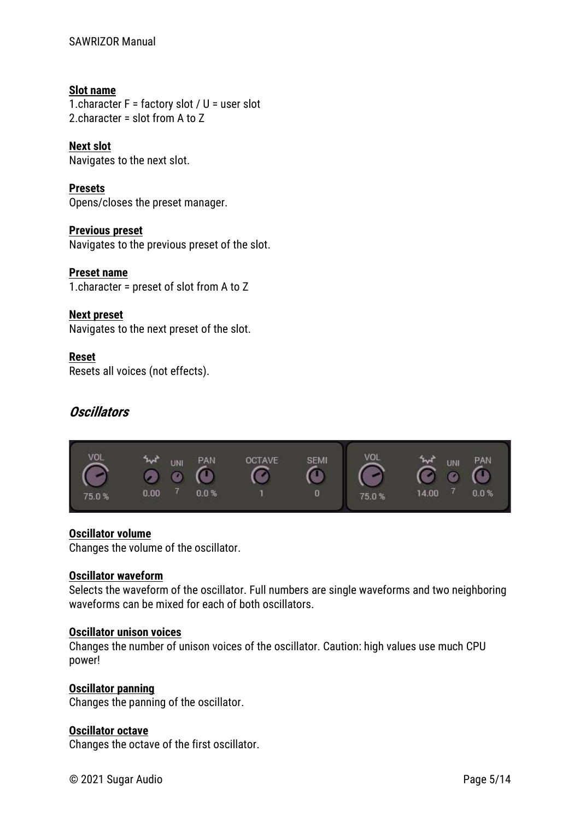### Slot name

1.character F = factory slot / U = user slot 2.character = slot from A to Z

### Next slot

Navigates to the next slot.

### Presets

Opens/closes the preset manager.

#### Previous preset Navigates to the previous preset of the slot.

Preset name 1.character = preset of slot from A to Z

Next preset Navigates to the next preset of the slot.

#### Reset Resets all voices (not effects).

### **Oscillators**



### Oscillator volume

Changes the volume of the oscillator.

#### Oscillator waveform

Selects the waveform of the oscillator. Full numbers are single waveforms and two neighboring waveforms can be mixed for each of both oscillators.

#### Oscillator unison voices

Changes the number of unison voices of the oscillator. Caution: high values use much CPU power!

### Oscillator panning

Changes the panning of the oscillator.

#### Oscillator octave

Changes the octave of the first oscillator.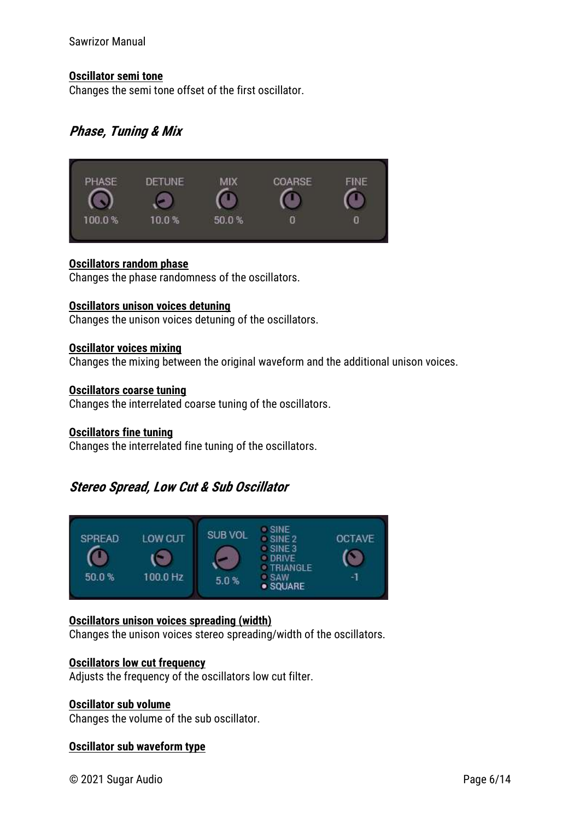### Sawrizor Manual

### Oscillator semi tone

Changes the semi tone offset of the first oscillator.

### Phase, Tuning & Mix



### Oscillators random phase

Changes the phase randomness of the oscillators.

### Oscillators unison voices detuning

Changes the unison voices detuning of the oscillators.

#### Oscillator voices mixing

Changes the mixing between the original waveform and the additional unison voices.

#### Oscillators coarse tuning

Changes the interrelated coarse tuning of the oscillators.

#### Oscillators fine tuning

Changes the interrelated fine tuning of the oscillators.

### Stereo Spread, Low Cut & Sub Oscillator



#### Oscillators unison voices spreading (width)

Changes the unison voices stereo spreading/width of the oscillators.

### Oscillators low cut frequency

Adjusts the frequency of the oscillators low cut filter.

### Oscillator sub volume

Changes the volume of the sub oscillator.

### Oscillator sub waveform type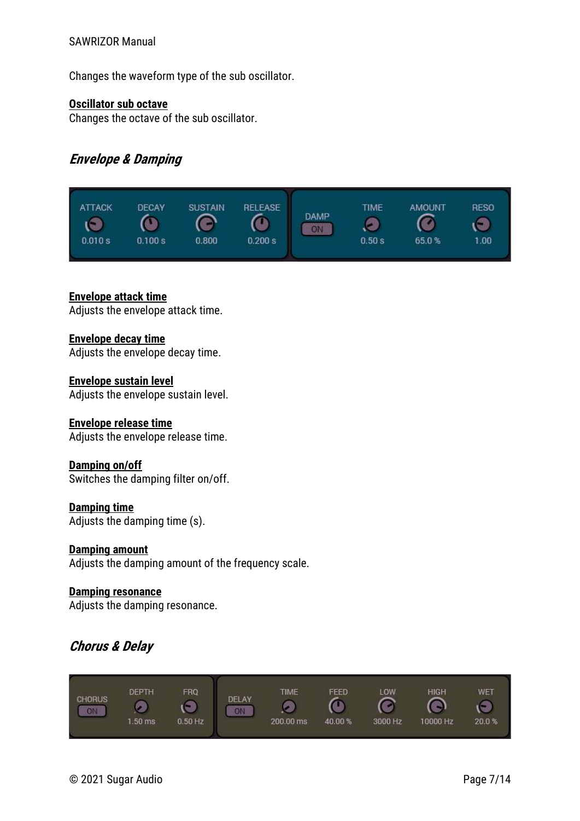Changes the waveform type of the sub oscillator.

### Oscillator sub octave

Changes the octave of the sub oscillator.

### Envelope & Damping



Envelope attack time Adjusts the envelope attack time.

Envelope decay time Adjusts the envelope decay time.

Envelope sustain level Adjusts the envelope sustain level.

Envelope release time Adjusts the envelope release time.

Damping on/off Switches the damping filter on/off.

Damping time Adjusts the damping time (s).

Damping amount Adjusts the damping amount of the frequency scale.

Damping resonance Adjusts the damping resonance.

### Chorus & Delay

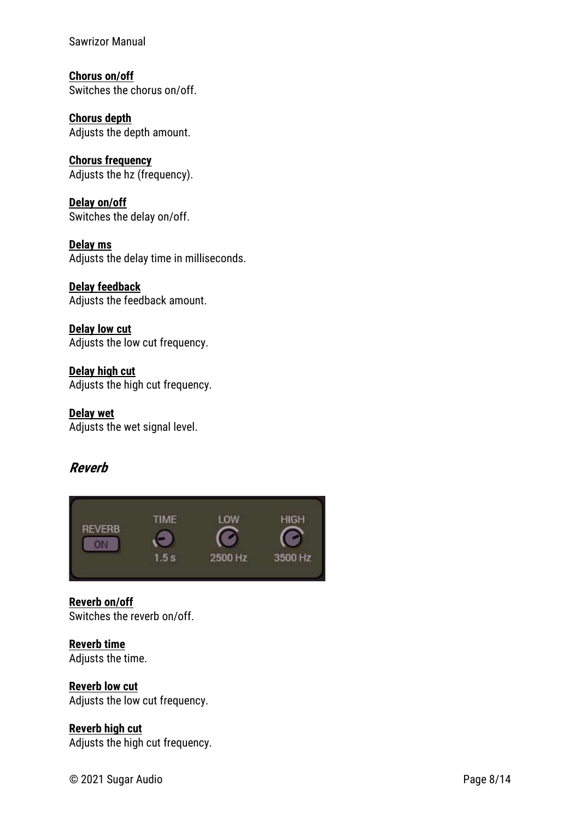Sawrizor Manual

Chorus on/off Switches the chorus on/off.

Chorus depth Adjusts the depth amount.

Chorus frequency Adjusts the hz (frequency).

Delay on/off Switches the delay on/off.

Delay ms Adjusts the delay time in milliseconds.

Delay feedback Adjusts the feedback amount.

Delay low cut Adjusts the low cut frequency.

Delay high cut Adjusts the high cut frequency.

Delay wet Adjusts the wet signal level.

### Reverb



Reverb on/off Switches the reverb on/off.

Reverb time Adjusts the time.

Reverb low cut Adjusts the low cut frequency.

Reverb high cut Adjusts the high cut frequency.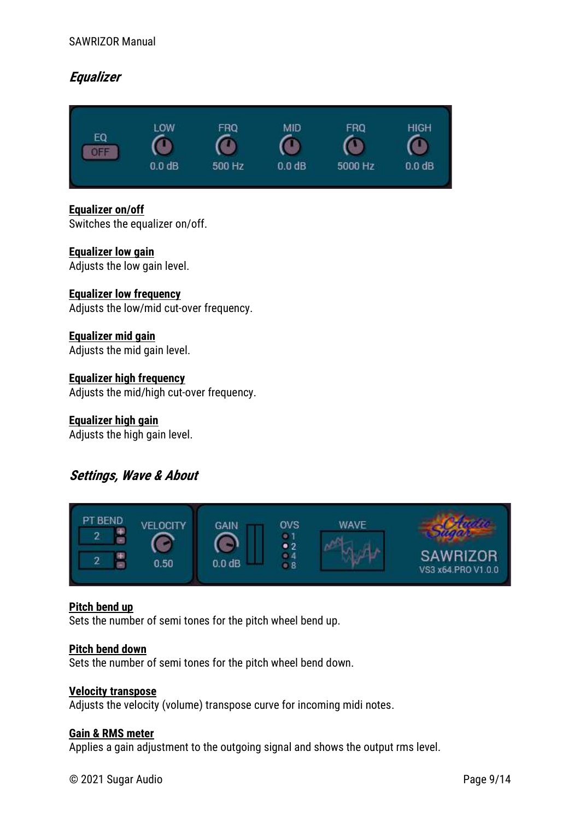# **Equalizer**



# Equalizer on/off

Switches the equalizer on/off.

# Equalizer low gain

Adjusts the low gain level.

### Equalizer low frequency

Adjusts the low/mid cut-over frequency.

# Equalizer mid gain

Adjusts the mid gain level.

### Equalizer high frequency

Adjusts the mid/high cut-over frequency.

Equalizer high gain Adjusts the high gain level.

### Settings, Wave & About



### Pitch bend up

Sets the number of semi tones for the pitch wheel bend up.

### Pitch bend down

Sets the number of semi tones for the pitch wheel bend down.

### Velocity transpose

Adjusts the velocity (volume) transpose curve for incoming midi notes.

### Gain & RMS meter

Applies a gain adjustment to the outgoing signal and shows the output rms level.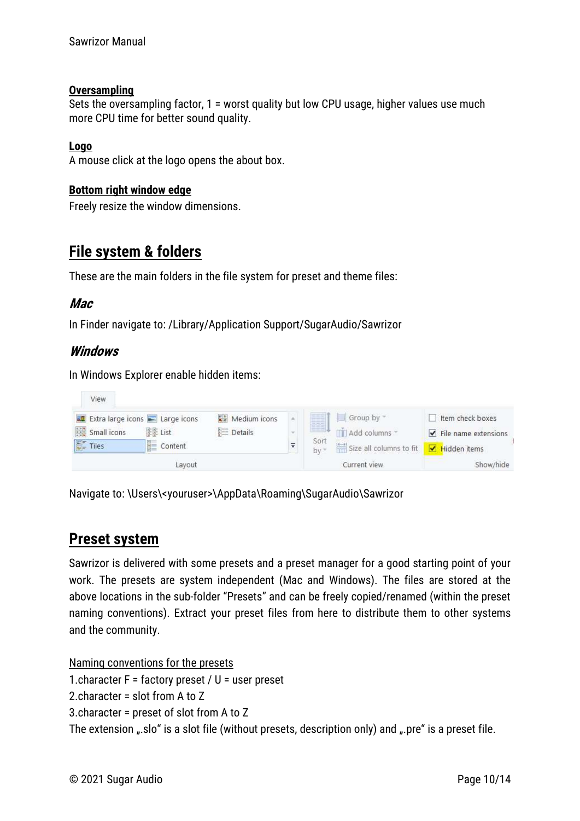### **Oversampling**

Sets the oversampling factor, 1 = worst quality but low CPU usage, higher values use much more CPU time for better sound quality.

### Logo

A mouse click at the logo opens the about box.

### Bottom right window edge

Freely resize the window dimensions.

# File system & folders

These are the main folders in the file system for preset and theme files:

### Mac

In Finder navigate to: /Library/Application Support/SugarAudio/Sawrizor

### Windows

In Windows Explorer enable hidden items:

| View                                                 |                                                                               |                         |   |                                                      |                                                                |
|------------------------------------------------------|-------------------------------------------------------------------------------|-------------------------|---|------------------------------------------------------|----------------------------------------------------------------|
| <b>ENR</b> Small icons<br>$\frac{1}{\sqrt{2}}$ Tiles | <b>LE</b> Extra large icons <b>Legal Large icons</b><br>開 List<br>$E$ Content | Medium icons<br>Details | Ψ | Group by *<br><b>All</b><br>TT Add columns *<br>Sort | Item check boxes<br>$\blacktriangleright$ File name extensions |
|                                                      | Lavout                                                                        |                         |   | Size all columns to fit<br>$bv =$<br>Current view    | Hidden items<br>Show/hide                                      |

Navigate to: \Users\<youruser>\AppData\Roaming\SugarAudio\Sawrizor

# Preset system

Sawrizor is delivered with some presets and a preset manager for a good starting point of your work. The presets are system independent (Mac and Windows). The files are stored at the above locations in the sub-folder "Presets" and can be freely copied/renamed (within the preset naming conventions). Extract your preset files from here to distribute them to other systems and the community.

```
Naming conventions for the presets
1.character F = factory preset / U = user preset
2.character = slot from A to Z
3.character = preset of slot from A to Z
The extension "slo" is a slot file (without presets, description only) and "pre" is a preset file.
```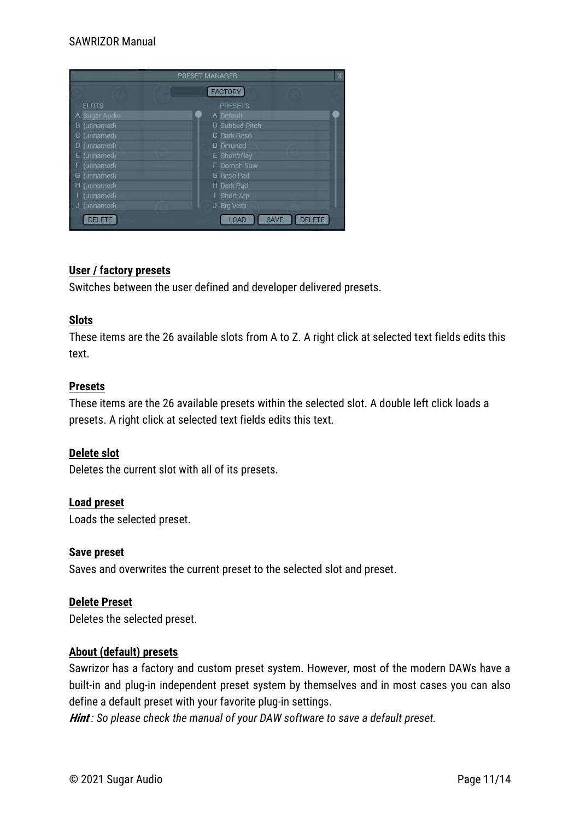### SAWRIZOR Manual

| PRESET MANAGER |  |  |                       |                              |  |  |  |
|----------------|--|--|-----------------------|------------------------------|--|--|--|
|                |  |  | FACTORY               |                              |  |  |  |
| <b>SLOTS</b>   |  |  | <b>PRESETS</b>        |                              |  |  |  |
| A Sugar Audio  |  |  | A Default             |                              |  |  |  |
| B (unnamed)    |  |  | <b>B</b> Subbed Pitch |                              |  |  |  |
| C (unnamed)    |  |  | C Dark Reso           |                              |  |  |  |
| D (unnamed)    |  |  | D Detuned             |                              |  |  |  |
| E (unnamed)    |  |  | E Short'n'lay         |                              |  |  |  |
| F (unnamed)    |  |  | F Comph Saw           |                              |  |  |  |
| G (unnamed)    |  |  | <b>G</b> Reso Pad     |                              |  |  |  |
| H (unnamed)    |  |  | H Dark Pad            |                              |  |  |  |
| (unnamed)      |  |  | I Short Arp           |                              |  |  |  |
| J (unnamed)    |  |  | J Big Verb            |                              |  |  |  |
| <b>DELETE</b>  |  |  | LOAD                  | <b>SAVE</b><br><b>DELETE</b> |  |  |  |

#### User / factory presets

Switches between the user defined and developer delivered presets.

#### **Slots**

These items are the 26 available slots from A to Z. A right click at selected text fields edits this text.

#### Presets

These items are the 26 available presets within the selected slot. A double left click loads a presets. A right click at selected text fields edits this text.

#### Delete slot

Deletes the current slot with all of its presets.

#### Load preset

Loads the selected preset.

#### Save preset

Saves and overwrites the current preset to the selected slot and preset.

### Delete Preset

Deletes the selected preset.

#### About (default) presets

Sawrizor has a factory and custom preset system. However, most of the modern DAWs have a built-in and plug-in independent preset system by themselves and in most cases you can also define a default preset with your favorite plug-in settings.

**Hint**: So please check the manual of your DAW software to save a default preset.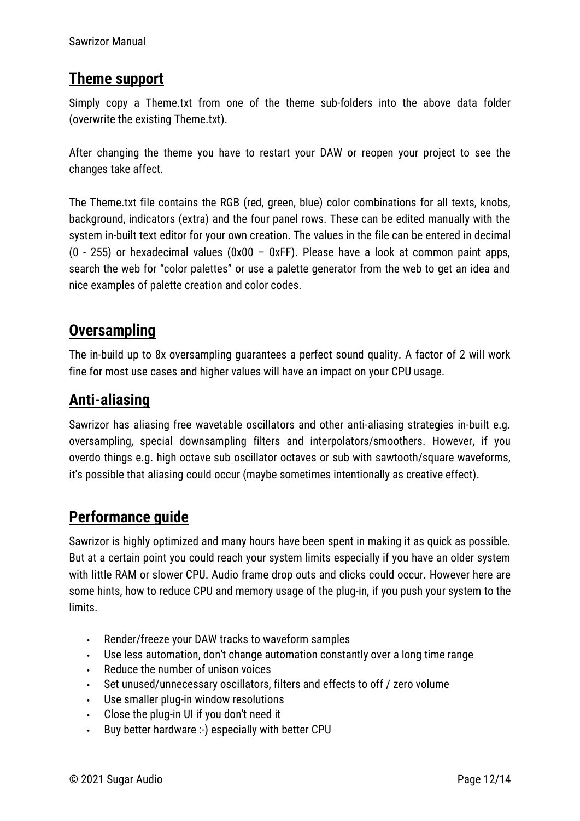# Theme support

Simply copy a Theme.txt from one of the theme sub-folders into the above data folder (overwrite the existing Theme.txt).

After changing the theme you have to restart your DAW or reopen your project to see the changes take affect.

The Theme.txt file contains the RGB (red, green, blue) color combinations for all texts, knobs, background, indicators (extra) and the four panel rows. These can be edited manually with the system in-built text editor for your own creation. The values in the file can be entered in decimal  $(0 - 255)$  or hexadecimal values  $(0x00 - 0xFF)$ . Please have a look at common paint apps, search the web for "color palettes" or use a palette generator from the web to get an idea and nice examples of palette creation and color codes.

# **Oversampling**

The in-build up to 8x oversampling guarantees a perfect sound quality. A factor of 2 will work fine for most use cases and higher values will have an impact on your CPU usage.

# Anti-aliasing

Sawrizor has aliasing free wavetable oscillators and other anti-aliasing strategies in-built e.g. oversampling, special downsampling filters and interpolators/smoothers. However, if you overdo things e.g. high octave sub oscillator octaves or sub with sawtooth/square waveforms, it's possible that aliasing could occur (maybe sometimes intentionally as creative effect).

# Performance guide

Sawrizor is highly optimized and many hours have been spent in making it as quick as possible. But at a certain point you could reach your system limits especially if you have an older system with little RAM or slower CPU. Audio frame drop outs and clicks could occur. However here are some hints, how to reduce CPU and memory usage of the plug-in, if you push your system to the limits.

- Render/freeze your DAW tracks to waveform samples
- Use less automation, don't change automation constantly over a long time range
- Reduce the number of unison voices
- Set unused/unnecessary oscillators, filters and effects to off / zero volume
- Use smaller plug-in window resolutions
- Close the plug-in UI if you don't need it
- Buy better hardware :-) especially with better CPU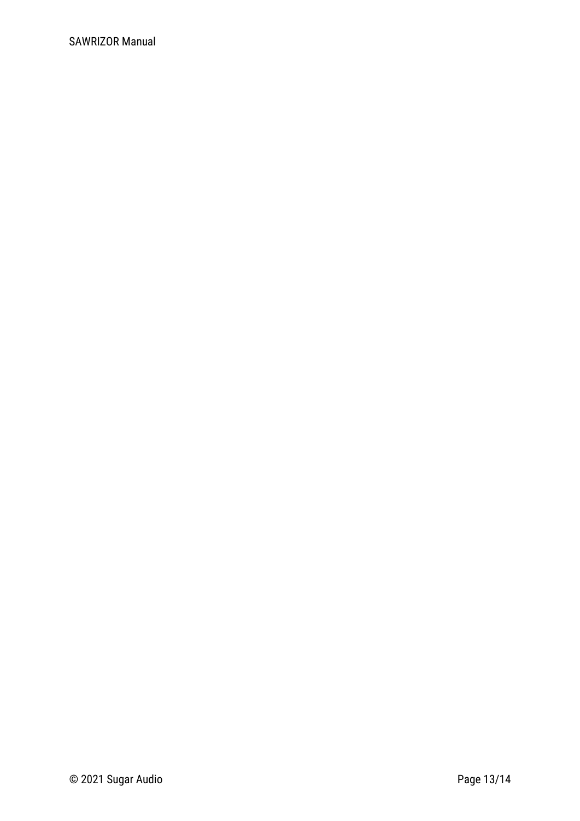### SAWRIZOR Manual